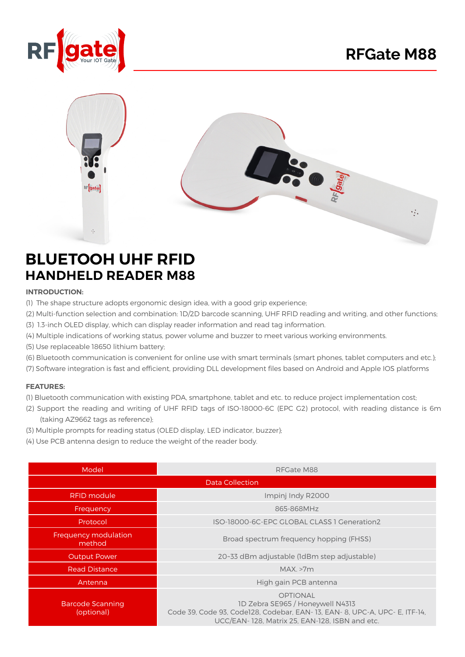



## **BLUETOOH UHF RFID HANDHELD READER M88**

## **:INTRODUCTION**

- (I) The shape structure adopts ergonomic design idea, with a good grip experience;
- (2) Multi-function selection and combination: 1D/2D barcode scanning, UHF RFID reading and writing, and other functions;
- (3) 1.3-inch OLED display, which can display reader information and read tag information.
- (4) Multiple indications of working status, power volume and buzzer to meet various working environments.
- (5) Use replaceable 18650 lithium battery;
- (6) Bluetooth communication is convenient for online use with smart terminals (smart phones, tablet computers and etc.);
- (7) Software integration is fast and efficient, providing DLL development files based on Android and Apple IOS platforms

## **:FEATURES**

- (I) Bluetooth communication with existing PDA, smartphone, tablet and etc. to reduce project implementation cost;
- (2) Support the reading and writing of UHF RFID tags of ISO-18000-6C (EPC G2) protocol, with reading distance is 6m (taking AZ9662 tags as reference);
- (3) Multiple prompts for reading status (OLED display, LED indicator, buzzer);
- (4) Use PCB antenna design to reduce the weight of the reader body.

| Model                                 | RFGate M88                                                                                                                                                                        |
|---------------------------------------|-----------------------------------------------------------------------------------------------------------------------------------------------------------------------------------|
| Data Collection                       |                                                                                                                                                                                   |
| RFID mod <u>ule</u>                   | Impinj Indy R2000                                                                                                                                                                 |
| Frequency                             | 865-868MHz                                                                                                                                                                        |
| Protocol                              | ISO-18000-6C-EPC GLOBAL CLASS 1 Generation2                                                                                                                                       |
| Frequency modulation<br>method        | Broad spectrum frequency hopping (FHSS)                                                                                                                                           |
| <b>Output Power</b>                   | 20~33 dBm adjustable (1dBm step adjustable)                                                                                                                                       |
| <b>Read Distance</b>                  | MAX. >7m                                                                                                                                                                          |
| Antenna                               | High gain PCB antenna                                                                                                                                                             |
| <b>Barcode Scanning</b><br>(optional) | <b>OPTIONAL</b><br>1D Zebra SE965 / Honeywell N4313<br>Code 39, Code 93, Code128, Codebar, EAN-13, EAN-8, UPC-A, UPC-E, ITF-14,<br>UCC/EAN-128, Matrix 25, EAN-128, ISBN and etc. |